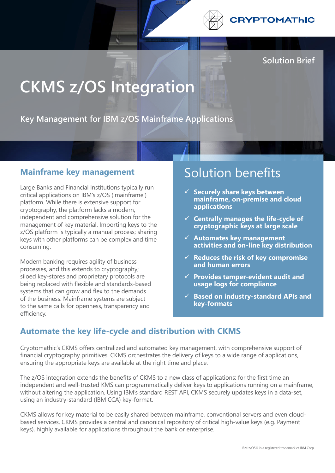

**Solution Brief**

# **CKMS z/OS Integration**

**Key Management for IBM z/OS Mainframe Applications**

#### **Mainframe key management**

Large Banks and Financial Institutions typically run critical applications on IBM's z/OS ('mainframe') platform. While there is extensive support for cryptography, the platform lacks a modern, independent and comprehensive solution for the management of key material. Importing keys to the z/OS platform is typically a manual process; sharing keys with other platforms can be complex and time consuming.

Modern banking requires agility of business processes, and this extends to cryptography; siloed key-stores and proprietary protocols are being replaced with flexible and standards-based systems that can grow and flex to the demands of the business. Mainframe systems are subject to the same calls for openness, transparency and efficiency.

## Solution benefits

- ü **Securely share keys between mainframe, on-premise and cloud applications**
- $\checkmark$  Centrally manages the life-cycle of **cryptographic keys at large scale**
- $\checkmark$  Automates key management **activities and on-line key distribution**
- ü **Reduces the risk of key compromise and human errors**
- ü **Provides tamper-evident audit and usage logs for compliance**
- ü **Based on industry-standard APIs and key-formats**

### **Automate the key life-cycle and distribution with CKMS**

Cryptomathic's CKMS offers centralized and automated key management, with comprehensive support of financial cryptography primitives. CKMS orchestrates the delivery of keys to a wide range of applications, ensuring the appropriate keys are available at the right time and place.

The z/OS integration extends the benefits of CKMS to a new class of applications: for the first time an independent and well-trusted KMS can programmatically deliver keys to applications running on a mainframe, without altering the application. Using IBM's standard REST API, CKMS securely updates keys in a data-set, using an industry-standard (IBM CCA) key-format.

CKMS allows for key material to be easily shared between mainframe, conventional servers and even cloudbased services. CKMS provides a central and canonical repository of critical high-value keys (e.g. Payment keys), highly available for applications throughout the bank or enterprise.